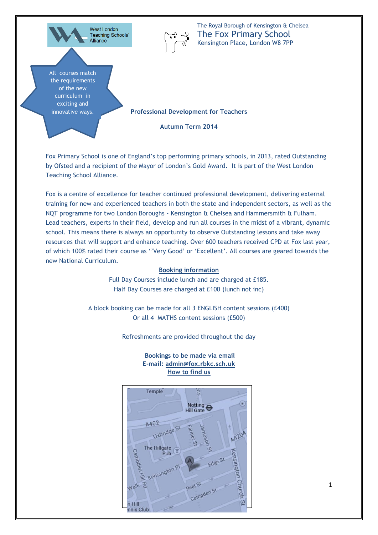

Fox Primary School is one of England's top performing primary schools, in 2013, rated Outstanding by Ofsted and a recipient of the Mayor of London's Gold Award. It is part of the West London Teaching School Alliance.

Fox is a centre of excellence for teacher continued professional development, delivering external training for new and experienced teachers in both the state and independent sectors, as well as the NQT programme for two London Boroughs - Kensington & Chelsea and Hammersmith & Fulham. Lead teachers, experts in their field, develop and run all courses in the midst of a vibrant, dynamic school. This means there is always an opportunity to observe Outstanding lessons and take away resources that will support and enhance teaching. Over 600 teachers received CPD at Fox last year, of which 100% rated their course as ''Very Good' or 'Excellent'. All courses are geared towards the new National Curriculum.

#### **Booking information**

Full Day Courses include lunch and are charged at £185. Half Day Courses are charged at £100 (lunch not inc)

A block booking can be made for all 3 ENGLISH content sessions (£400) Or all 4 MATHS content sessions (£500)

Refreshments are provided throughout the day

**Bookings to be made via email E-mail: admin@fox.rbkc.sch.uk How to find us**

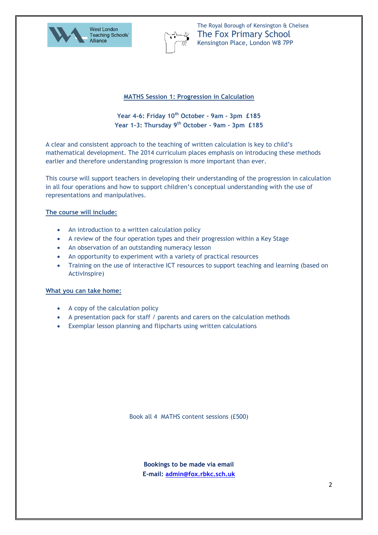



#### **MATHS Session 1: Progression in Calculation**

# **Year 4-6: Friday 10th October - 9am - 3pm £185 Year 1-3: Thursday 9th October - 9am - 3pm £185**

A clear and consistent approach to the teaching of written calculation is key to child's mathematical development. The 2014 curriculum places emphasis on introducing these methods earlier and therefore understanding progression is more important than ever.

This course will support teachers in developing their understanding of the progression in calculation in all four operations and how to support children's conceptual understanding with the use of representations and manipulatives.

#### **The course will include:**

- An introduction to a written calculation policy
- A review of the four operation types and their progression within a Key Stage
- An observation of an outstanding numeracy lesson
- An opportunity to experiment with a variety of practical resources
- Training on the use of interactive ICT resources to support teaching and learning (based on ActivInspire)

#### **What you can take home:**

- A copy of the calculation policy
- A presentation pack for staff / parents and carers on the calculation methods
- Exemplar lesson planning and flipcharts using written calculations

Book all 4 MATHS content sessions (£500)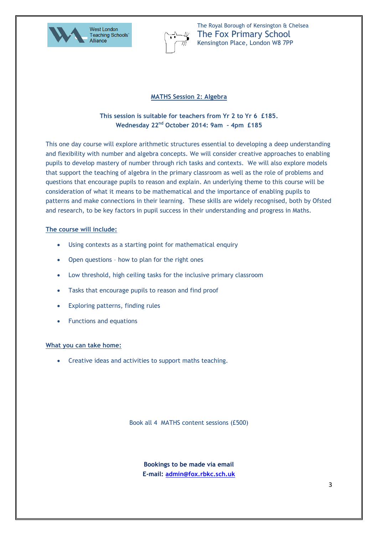



### **MATHS Session 2: Algebra**

## **This session is suitable for teachers from Yr 2 to Yr 6 £185. Wednesday 22nd October 2014: 9am – 4pm £185**

This one day course will explore arithmetic structures essential to developing a deep understanding and flexibility with number and algebra concepts. We will consider creative approaches to enabling pupils to develop mastery of number through rich tasks and contexts. We will also explore models that support the teaching of algebra in the primary classroom as well as the role of problems and questions that encourage pupils to reason and explain. An underlying theme to this course will be consideration of what it means to be mathematical and the importance of enabling pupils to patterns and make connections in their learning. These skills are widely recognised, both by Ofsted and research, to be key factors in pupil success in their understanding and progress in Maths.

#### **The course will include:**

- Using contexts as a starting point for mathematical enquiry
- Open questions how to plan for the right ones
- Low threshold, high ceiling tasks for the inclusive primary classroom
- Tasks that encourage pupils to reason and find proof
- Exploring patterns, finding rules
- Functions and equations

#### **What you can take home:**

Creative ideas and activities to support maths teaching.

Book all 4 MATHS content sessions (£500)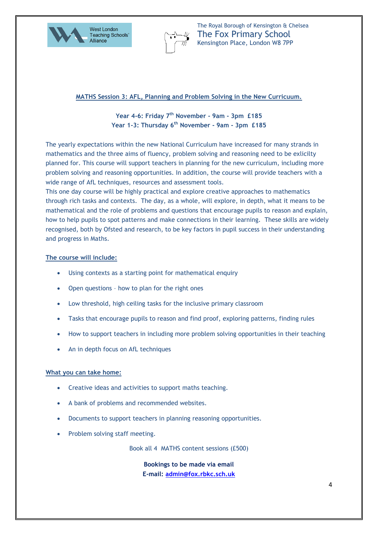



#### **MATHS Session 3: AFL, Planning and Problem Solving in the New Curricuum.**

# **Year 4-6: Friday 7th November - 9am - 3pm £185 Year 1-3: Thursday 6 th November - 9am - 3pm £185**

The yearly expectations within the new National Curriculum have increased for many strands in mathematics and the three aims of fluency, problem solving and reasoning need to be exlicilty planned for. This course will support teachers in planning for the new curriculum, including more problem solving and reasoning opportunities. In addition, the course will provide teachers with a wide range of AfL techniques, resources and assessment tools.

This one day course will be highly practical and explore creative approaches to mathematics through rich tasks and contexts. The day, as a whole, will explore, in depth, what it means to be mathematical and the role of problems and questions that encourage pupils to reason and explain, how to help pupils to spot patterns and make connections in their learning. These skills are widely recognised, both by Ofsted and research, to be key factors in pupil success in their understanding and progress in Maths.

#### **The course will include:**

- Using contexts as a starting point for mathematical enquiry
- Open questions how to plan for the right ones
- Low threshold, high ceiling tasks for the inclusive primary classroom
- Tasks that encourage pupils to reason and find proof, exploring patterns, finding rules
- How to support teachers in including more problem solving opportunities in their teaching
- An in depth focus on AfL techniques

#### **What you can take home:**

- Creative ideas and activities to support maths teaching.
- A bank of problems and recommended websites.
- Documents to support teachers in planning reasoning opportunities.
- Problem solving staff meeting.

Book all 4 MATHS content sessions (£500)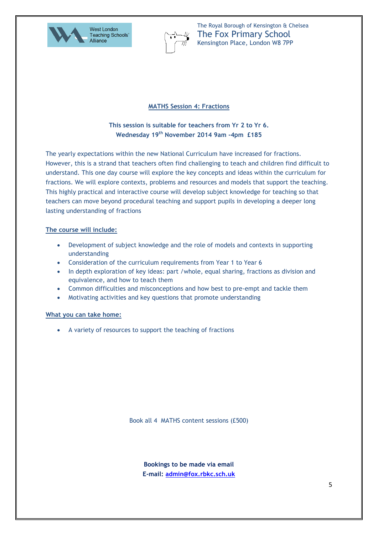



### **MATHS Session 4: Fractions**

## **This session is suitable for teachers from Yr 2 to Yr 6. Wednesday 19th November 2014 9am -4pm £185**

The yearly expectations within the new National Curriculum have increased for fractions. However, this is a strand that teachers often find challenging to teach and children find difficult to understand. This one day course will explore the key concepts and ideas within the curriculum for fractions. We will explore contexts, problems and resources and models that support the teaching. This highly practical and interactive course will develop subject knowledge for teaching so that teachers can move beyond procedural teaching and support pupils in developing a deeper long lasting understanding of fractions

#### **The course will include:**

- Development of subject knowledge and the role of models and contexts in supporting understanding
- Consideration of the curriculum requirements from Year 1 to Year 6
- In depth exploration of key ideas: part /whole, equal sharing, fractions as division and equivalence, and how to teach them
- Common difficulties and misconceptions and how best to pre-empt and tackle them
- Motivating activities and key questions that promote understanding

#### **What you can take home:**

A variety of resources to support the teaching of fractions

Book all 4 MATHS content sessions (£500)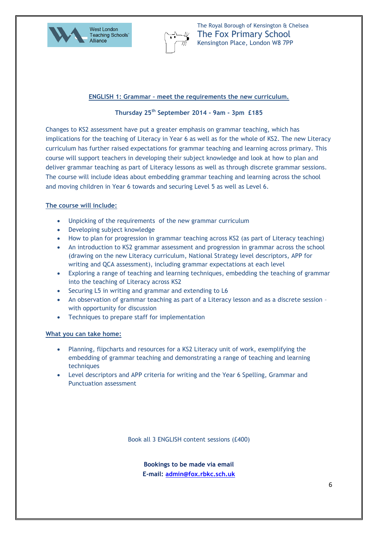



#### **ENGLISH 1: Grammar – meet the requirements the new curriculum.**

### **Thursday 25th September 2014 - 9am - 3pm £185**

Changes to KS2 assessment have put a greater emphasis on grammar teaching, which has implications for the teaching of Literacy in Year 6 as well as for the whole of KS2. The new Literacy curriculum has further raised expectations for grammar teaching and learning across primary. This course will support teachers in developing their subject knowledge and look at how to plan and deliver grammar teaching as part of Literacy lessons as well as through discrete grammar sessions. The course will include ideas about embedding grammar teaching and learning across the school and moving children in Year 6 towards and securing Level 5 as well as Level 6.

#### **The course will include:**

- Unpicking of the requirements of the new grammar curriculum
- Developing subject knowledge
- How to plan for progression in grammar teaching across KS2 (as part of Literacy teaching)
- An introduction to KS2 grammar assessment and progression in grammar across the school (drawing on the new Literacy curriculum, National Strategy level descriptors, APP for writing and QCA assessment), including grammar expectations at each level
- Exploring a range of teaching and learning techniques, embedding the teaching of grammar into the teaching of Literacy across KS2
- Securing L5 in writing and grammar and extending to L6
- An observation of grammar teaching as part of a Literacy lesson and as a discrete session with opportunity for discussion
- Techniques to prepare staff for implementation

#### **What you can take home:**

- Planning, flipcharts and resources for a KS2 Literacy unit of work, exemplifying the embedding of grammar teaching and demonstrating a range of teaching and learning techniques
- Level descriptors and APP criteria for writing and the Year 6 Spelling, Grammar and Punctuation assessment

Book all 3 ENGLISH content sessions (£400)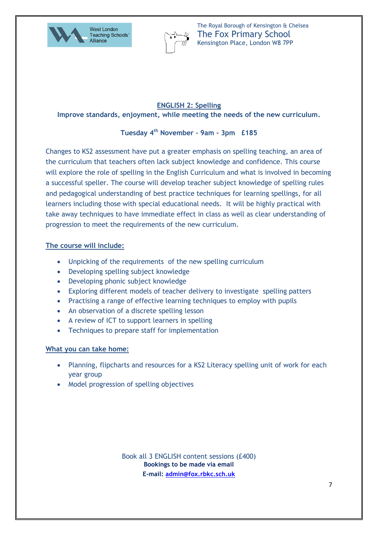



# **ENGLISH 2: Spelling Improve standards, enjoyment, while meeting the needs of the new curriculum.**

# **Tuesday 4 th November - 9am - 3pm £185**

Changes to KS2 assessment have put a greater emphasis on spelling teaching, an area of the curriculum that teachers often lack subject knowledge and confidence. This course will explore the role of spelling in the English Curriculum and what is involved in becoming a successful speller. The course will develop teacher subject knowledge of spelling rules and pedagogical understanding of best practice techniques for learning spellings, for all learners including those with special educational needs. It will be highly practical with take away techniques to have immediate effect in class as well as clear understanding of progression to meet the requirements of the new curriculum.

## **The course will include:**

- Unpicking of the requirements of the new spelling curriculum
- Developing spelling subject knowledge
- Developing phonic subject knowledge
- Exploring different models of teacher delivery to investigate spelling patters
- Practising a range of effective learning techniques to employ with pupils
- An observation of a discrete spelling lesson
- A review of ICT to support learners in spelling
- Techniques to prepare staff for implementation

# **What you can take home:**

- Planning, flipcharts and resources for a KS2 Literacy spelling unit of work for each year group
- Model progression of spelling objectives

**Bookings to be made via email E-mail: [admin@fox.rbkc.sch.uk](mailto:admin@fox.rbkc.sch.uk)** Book all 3 ENGLISH content sessions (£400)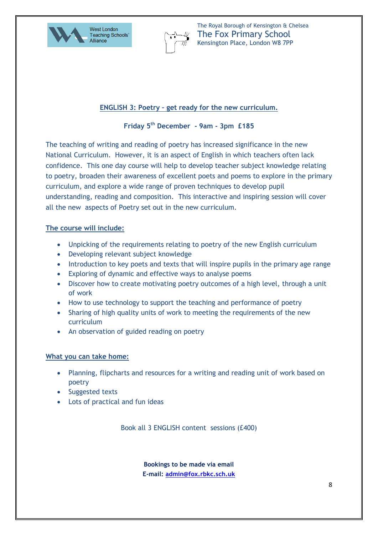



# **ENGLISH 3: Poetry – get ready for the new curriculum.**

# **Friday 5th December - 9am - 3pm £185**

The teaching of writing and reading of poetry has increased significance in the new National Curriculum. However, it is an aspect of English in which teachers often lack confidence. This one day course will help to develop teacher subject knowledge relating to poetry, broaden their awareness of excellent poets and poems to explore in the primary curriculum, and explore a wide range of proven techniques to develop pupil understanding, reading and composition. This interactive and inspiring session will cover all the new aspects of Poetry set out in the new curriculum.

## **The course will include:**

- Unpicking of the requirements relating to poetry of the new English curriculum
- Developing relevant subject knowledge
- Introduction to key poets and texts that will inspire pupils in the primary age range
- Exploring of dynamic and effective ways to analyse poems
- Discover how to create motivating poetry outcomes of a high level, through a unit of work
- How to use technology to support the teaching and performance of poetry
- Sharing of high quality units of work to meeting the requirements of the new curriculum
- An observation of guided reading on poetry

### **What you can take home:**

- Planning, flipcharts and resources for a writing and reading unit of work based on poetry
- Suggested texts
- Lots of practical and fun ideas

Book all 3 ENGLISH content sessions (£400)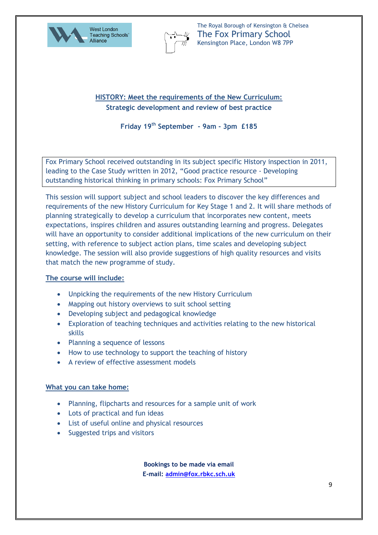



# **HISTORY: Meet the requirements of the New Curriculum: Strategic development and review of best practice**

**Friday 19th September - 9am - 3pm £185**

Fox Primary School received outstanding in its subject specific History inspection in 2011, leading to the Case Study written in 2012, "Good practice resource - Developing outstanding historical thinking in primary schools: Fox Primary School"

This session will support subject and school leaders to discover the key differences and requirements of the new History Curriculum for Key Stage 1 and 2. It will share methods of planning strategically to develop a curriculum that incorporates new content, meets expectations, inspires children and assures outstanding learning and progress. Delegates will have an opportunity to consider additional implications of the new curriculum on their setting, with reference to subject action plans, time scales and developing subject knowledge. The session will also provide suggestions of high quality resources and visits that match the new programme of study.

# **The course will include:**

- Unpicking the requirements of the new History Curriculum
- Mapping out history overviews to suit school setting
- Developing subject and pedagogical knowledge
- Exploration of teaching techniques and activities relating to the new historical skills
- Planning a sequence of lessons
- How to use technology to support the teaching of history
- A review of effective assessment models

### **What you can take home:**

- Planning, flipcharts and resources for a sample unit of work
- Lots of practical and fun ideas
- List of useful online and physical resources
- Suggested trips and visitors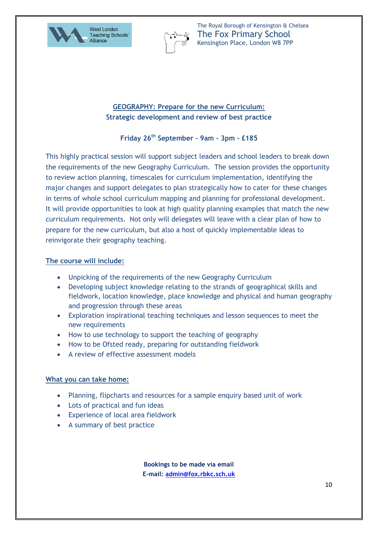



# **GEOGRAPHY: Prepare for the new Curriculum: Strategic development and review of best practice**

# **Friday 26th September - 9am - 3pm - £185**

This highly practical session will support subject leaders and school leaders to break down the requirements of the new Geography Curriculum. The session provides the opportunity to review action planning, timescales for curriculum implementation, identifying the major changes and support delegates to plan strategically how to cater for these changes in terms of whole school curriculum mapping and planning for professional development. It will provide opportunities to look at high quality planning examples that match the new curriculum requirements. Not only will delegates will leave with a clear plan of how to prepare for the new curriculum, but also a host of quickly implementable ideas to reinvigorate their geography teaching.

## **The course will include:**

- Unpicking of the requirements of the new Geography Curriculum
- Developing subject knowledge relating to the strands of geographical skills and fieldwork, location knowledge, place knowledge and physical and human geography and progression through these areas
- Exploration inspirational teaching techniques and lesson sequences to meet the new requirements
- How to use technology to support the teaching of geography
- How to be Ofsted ready, preparing for outstanding fieldwork
- A review of effective assessment models

# **What you can take home:**

- Planning, flipcharts and resources for a sample enquiry based unit of work
- Lots of practical and fun ideas
- Experience of local area fieldwork
- A summary of best practice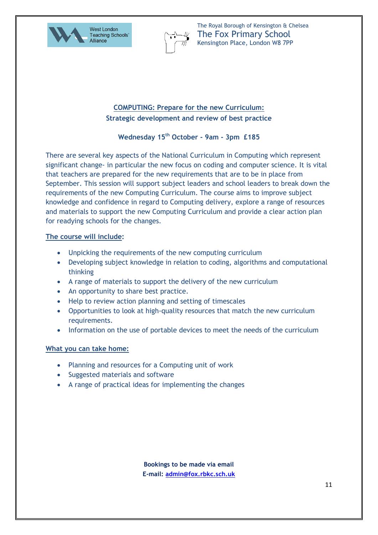



# **COMPUTING: Prepare for the new Curriculum: Strategic development and review of best practice**

# **Wednesday 15th October - 9am - 3pm £185**

There are several key aspects of the National Curriculum in Computing which represent significant change- in particular the new focus on coding and computer science. It is vital that teachers are prepared for the new requirements that are to be in place from September. This session will support subject leaders and school leaders to break down the requirements of the new Computing Curriculum. The course aims to improve subject knowledge and confidence in regard to Computing delivery, explore a range of resources and materials to support the new Computing Curriculum and provide a clear action plan for readying schools for the changes.

## **The course will include:**

- Unpicking the requirements of the new computing curriculum
- Developing subject knowledge in relation to coding, algorithms and computational thinking
- A range of materials to support the delivery of the new curriculum
- An opportunity to share best practice.
- Help to review action planning and setting of timescales
- Opportunities to look at high-quality resources that match the new curriculum requirements.
- Information on the use of portable devices to meet the needs of the curriculum

### **What you can take home:**

- Planning and resources for a Computing unit of work
- Suggested materials and software
- A range of practical ideas for implementing the changes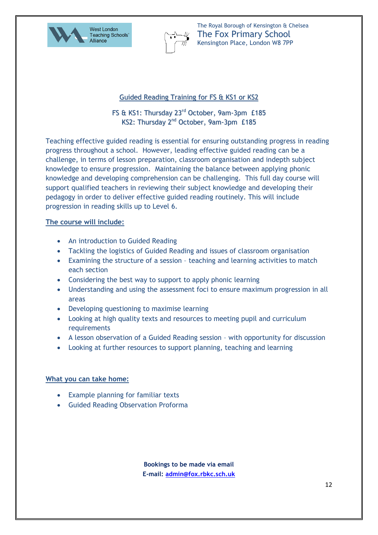



## Guided Reading Training for FS & KS1 or KS2

# FS & KS1: Thursday 23<sup>rd</sup> October, 9am-3pm £185 KS2: Thursday 2<sup>nd</sup> October, 9am-3pm £185

Teaching effective guided reading is essential for ensuring outstanding progress in reading progress throughout a school. However, leading effective guided reading can be a challenge, in terms of lesson preparation, classroom organisation and indepth subject knowledge to ensure progression. Maintaining the balance between applying phonic knowledge and developing comprehension can be challenging. This full day course will support qualified teachers in reviewing their subject knowledge and developing their pedagogy in order to deliver effective guided reading routinely. This will include progression in reading skills up to Level 6.

## **The course will include:**

- An introduction to Guided Reading
- Tackling the logistics of Guided Reading and issues of classroom organisation
- Examining the structure of a session teaching and learning activities to match each section
- Considering the best way to support to apply phonic learning
- Understanding and using the assessment foci to ensure maximum progression in all areas
- Developing questioning to maximise learning
- Looking at high quality texts and resources to meeting pupil and curriculum **requirements**
- A lesson observation of a Guided Reading session with opportunity for discussion
- Looking at further resources to support planning, teaching and learning

### **What you can take home:**

- Example planning for familiar texts
- Guided Reading Observation Proforma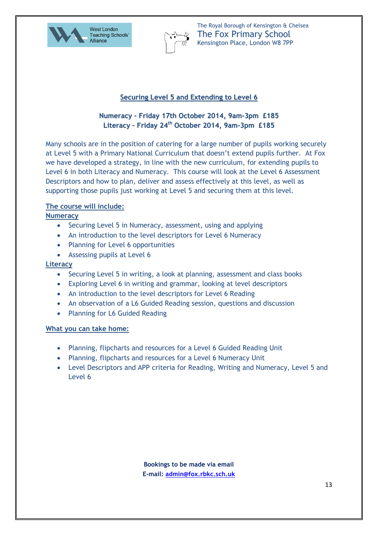



# **Securing Level 5 and Extending to Level 6**

# **Numeracy – Friday 17th October 2014, 9am-3pm £185 Literacy – Friday 24 th October 2014, 9am-3pm £185**

Many schools are in the position of catering for a large number of pupils working securely at Level 5 with a Primary National Curriculum that doesn't extend pupils further. At Fox we have developed a strategy, in line with the new curriculum, for extending pupils to Level 6 in both Literacy and Numeracy. This course will look at the Level 6 Assessment Descriptors and how to plan, deliver and assess effectively at this level, as well as supporting those pupils just working at Level 5 and securing them at this level.

## **The course will include:**

**Numeracy**

- Securing Level 5 in Numeracy, assessment, using and applying
- An introduction to the level descriptors for Level 6 Numeracy
- Planning for Level 6 opportunities
- Assessing pupils at Level 6

### **Literacy**

- Securing Level 5 in writing, a look at planning, assessment and class books
- Exploring Level 6 in writing and grammar, looking at level descriptors
- An introduction to the level descriptors for Level 6 Reading
- An observation of a L6 Guided Reading session, questions and discussion
- Planning for L6 Guided Reading

### **What you can take home:**

- Planning, flipcharts and resources for a Level 6 Guided Reading Unit
- Planning, flipcharts and resources for a Level 6 Numeracy Unit
- Level Descriptors and APP criteria for Reading, Writing and Numeracy, Level 5 and Level 6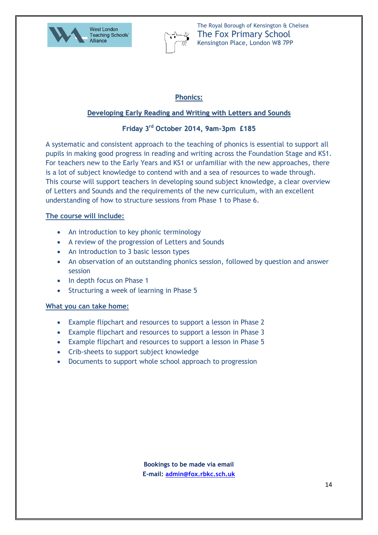



# **Phonics:**

# **Developing Early Reading and Writing with Letters and Sounds**

# **Friday 3 rd October 2014, 9am-3pm £185**

A systematic and consistent approach to the teaching of phonics is essential to support all pupils in making good progress in reading and writing across the Foundation Stage and KS1. For teachers new to the Early Years and KS1 or unfamiliar with the new approaches, there is a lot of subject knowledge to contend with and a sea of resources to wade through. This course will support teachers in developing sound subject knowledge, a clear overview of Letters and Sounds and the requirements of the new curriculum, with an excellent understanding of how to structure sessions from Phase 1 to Phase 6.

# **The course will include:**

- An introduction to key phonic terminology
- A review of the progression of Letters and Sounds
- An introduction to 3 basic lesson types
- An observation of an outstanding phonics session, followed by question and answer session
- In depth focus on Phase 1
- Structuring a week of learning in Phase 5

### **What you can take home:**

- Example flipchart and resources to support a lesson in Phase 2
- Example flipchart and resources to support a lesson in Phase 3
- Example flipchart and resources to support a lesson in Phase 5
- Crib-sheets to support subject knowledge
- Documents to support whole school approach to progression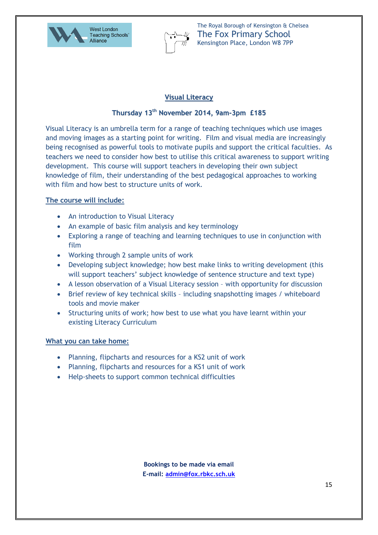



# **Visual Literacy**

# **Thursday 13 th November 2014, 9am-3pm £185**

Visual Literacy is an umbrella term for a range of teaching techniques which use images and moving images as a starting point for writing. Film and visual media are increasingly being recognised as powerful tools to motivate pupils and support the critical faculties. As teachers we need to consider how best to utilise this critical awareness to support writing development. This course will support teachers in developing their own subject knowledge of film, their understanding of the best pedagogical approaches to working with film and how best to structure units of work.

# **The course will include:**

- An introduction to Visual Literacy
- An example of basic film analysis and key terminology
- Exploring a range of teaching and learning techniques to use in conjunction with film
- Working through 2 sample units of work
- Developing subject knowledge; how best make links to writing development (this will support teachers' subject knowledge of sentence structure and text type)
- A lesson observation of a Visual Literacy session with opportunity for discussion
- Brief review of key technical skills including snapshotting images / whiteboard tools and movie maker
- Structuring units of work; how best to use what you have learnt within your existing Literacy Curriculum

### **What you can take home:**

- Planning, flipcharts and resources for a KS2 unit of work
- Planning, flipcharts and resources for a KS1 unit of work
- Help-sheets to support common technical difficulties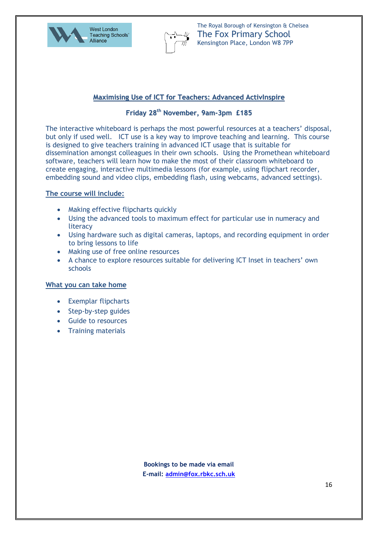



## **Maximising Use of ICT for Teachers: Advanced ActivInspire**

# **Friday 28 th November, 9am-3pm £185**

The interactive whiteboard is perhaps the most powerful resources at a teachers' disposal, but only if used well. ICT use is a key way to improve teaching and learning. This course is designed to give teachers training in advanced ICT usage that is suitable for dissemination amongst colleagues in their own schools. Using the Promethean whiteboard software, teachers will learn how to make the most of their classroom whiteboard to create engaging, interactive multimedia lessons (for example, using flipchart recorder, embedding sound and video clips, embedding flash, using webcams, advanced settings).

## **The course will include:**

- Making effective flipcharts quickly
- Using the advanced tools to maximum effect for particular use in numeracy and literacy
- Using hardware such as digital cameras, laptops, and recording equipment in order to bring lessons to life
- Making use of free online resources
- A chance to explore resources suitable for delivering ICT Inset in teachers' own schools

### **What you can take home**

- Exemplar flipcharts
- Step-by-step guides
- Guide to resources
- Training materials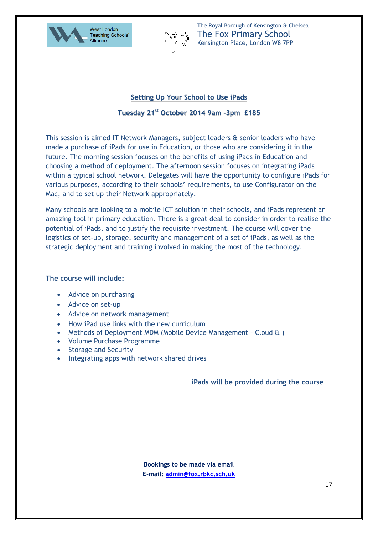



# **Setting Up Your School to Use iPads**

# **Tuesday 21 st October 2014 9am -3pm £185**

This session is aimed IT Network Managers, subject leaders & senior leaders who have made a purchase of iPads for use in Education, or those who are considering it in the future. The morning session focuses on the benefits of using iPads in Education and choosing a method of deployment. The afternoon session focuses on integrating iPads within a typical school network. Delegates will have the opportunity to configure iPads for various purposes, according to their schools' requirements, to use Configurator on the Mac, and to set up their Network appropriately.

Many schools are looking to a mobile ICT solution in their schools, and iPads represent an amazing tool in primary education. There is a great deal to consider in order to realise the potential of iPads, and to justify the requisite investment. The course will cover the logistics of set-up, storage, security and management of a set of iPads, as well as the strategic deployment and training involved in making the most of the technology.

# **The course will include:**

- Advice on purchasing
- Advice on set-up
- Advice on network management
- How iPad use links with the new curriculum
- Methods of Deployment MDM (Mobile Device Management Cloud & )
- Volume Purchase Programme
- Storage and Security
- Integrating apps with network shared drives

**iPads will be provided during the course**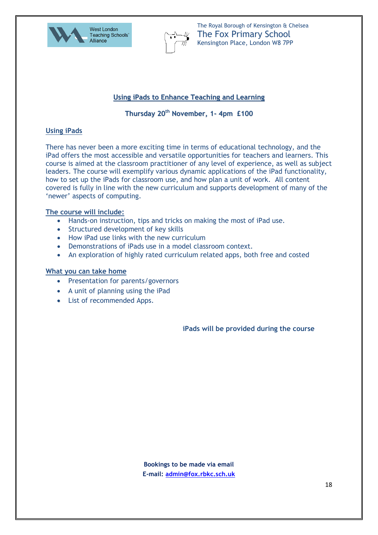



# **Using iPads to Enhance Teaching and Learning**

# **Thursday 20 th November, 1- 4pm £100**

### **Using iPads**

There has never been a more exciting time in terms of educational technology, and the iPad offers the most accessible and versatile opportunities for teachers and learners. This course is aimed at the classroom practitioner of any level of experience, as well as subject leaders. The course will exemplify various dynamic applications of the iPad functionality, how to set up the iPads for classroom use, and how plan a unit of work. All content covered is fully in line with the new curriculum and supports development of many of the 'newer' aspects of computing.

#### **The course will include:**

- Hands-on instruction, tips and tricks on making the most of iPad use.
- Structured development of key skills
- How iPad use links with the new curriculum
- Demonstrations of iPads use in a model classroom context.
- An exploration of highly rated curriculum related apps, both free and costed

#### **What you can take home**

- Presentation for parents/governors
- A unit of planning using the iPad
- List of recommended Apps.

**iPads will be provided during the course**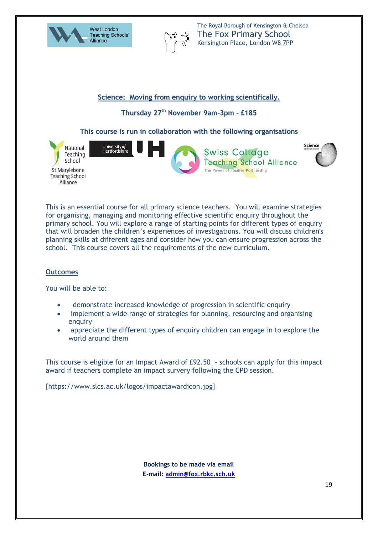



**Science: Moving from enquiry to working scientifically.**

**Thursday 27 th November 9am-3pm - £185**

**This course is run in collaboration with the following organisations**



This is an essential course for all primary science teachers. You will examine strategies for organising, managing and monitoring effective scientific enquiry throughout the primary school. You will explore a range of starting points for different types of enquiry that will broaden the children's experiences of investigations. You will discuss children's planning skills at different ages and consider how you can ensure progression across the school. This course covers all the requirements of the new curriculum.

# **Outcomes**

You will be able to:

- demonstrate increased knowledge of progression in scientific enquiry
- implement a wide range of strategies for planning, resourcing and organising enquiry
- appreciate the different types of enquiry children can engage in to explore the world around them

This course is eligible for an Impact Award of £92.50 - schools can apply for this impact award if teachers complete an impact survery following the CPD session.

[https://www.slcs.ac.uk/logos/impactawardicon.jpg]